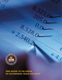

ENT ST

# **2004 REPORT TO THE NATION ON OCCUPATIONAL FRAUD AND ABUSE**

8 5280.00

**RUPY** 

**PROVASSET MISAPPROPRIATION** 

ANSARRO COMPANY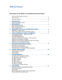# *Table of Contents*

## *2004 Report to the Nation on Occupational Fraud and Abuse*

| 1.             |                                                                  |
|----------------|------------------------------------------------------------------|
|                | What is Occupational Fraud?                                      |
| $\mathbf{2}$ . |                                                                  |
|                | Who Provided the Data?                                           |
|                | Where Did the Frauds Occur?<br><b>Types of Organizations</b>     |
| 3.             | MEASURING THE COST OF OCCUPATIONAL FRAUD 8                       |
|                | <b>Distribution of Dollar Losses</b>                             |
|                | Uniform Occupational Fraud Classification System 10              |
| 4.             | HOW OCCUPATIONAL FRAUD IS COMMITTED 11                           |
|                | Asset Misappropriations - Cash vs. Non-Cash                      |
|                | <b>Cash Misappropriations</b><br><b>Fraudulent Disbursements</b> |
|                | Comparison of All Fraud Categories - 2002 and 2004               |
|                | Methods of Fraud Based on Industry                               |
|                | Methods of Fraud Based on Organization Type of the Victim        |
|                | Methods of Fraud in Small Businesses                             |
| 5.             | Detecting Fraud by Owners and Executives                         |
|                | Detecting the Largest Frauds                                     |
|                | Detecting Fraud in Small Businesses                              |
|                | Detection Based on the Type of Victim Organization               |
| 6.             |                                                                  |
|                | <b>Anonymous Fraud Hotlines</b><br><b>Internal Audits</b>        |
|                | <b>External Audits</b>                                           |
| 7.             |                                                                  |
|                | The Effect of the Perpetrator's Position                         |
|                | The Perpetrator's Annual Income<br>The Effect of Tenure          |
|                | The Effect of Gender                                             |
|                | The Effect of Age                                                |
|                | The Effect of Education                                          |
|                | The Effect of Collusion                                          |
|                | The Perpetrators' Criminal Histories                             |
| 8.             | <b>Employment Actions Taken Against Fraudsters</b>               |
|                | <b>Criminal Prosecutions</b>                                     |
|                | <b>Civil Lawsuits</b>                                            |
|                | Why do Organizations Decline to Take Legal Action?               |
|                | Recovering Losses Caused by Fraud                                |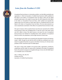<span id="page-2-0"></span>

## *Letter from the President & CEO*

Occupational fraud and abuse is a tremendous problem, one that affects practically every organization. In 1996, the Association of Certified Fraud Examiners (ACFE) published its first *Report to the Nation on Occupational Fraud and Abuse*, which was the largest privately funded study on the subject. Six years later, the ACFE released the *2002 Report to the Nation on Occupational Fraud and Abuse*, which updated and expanded the original report. We now present our third major study on occupational fraud, the *2004 Report to the Nation on Occupational Fraud and Abuse*. This new study represents our most comprehensive examination of the effects of occupational fraud and abuse to date.

This report is based on 508 occupational fraud cases that were reported by the Certified Fraud Examiners (CFEs) who investigated them. In total, the cases in this study caused over \$761 million in losses. This report focuses on six areas: the cost of occupational fraud and abuse, the methods for committing these crimes, detection of occupational fraud, the victims, the perpetrators, and the legal outcomes of fraud cases.

The *2004 Report to the Nation* was conceived by the Association's founder and chairman, Joseph T. Wells. Through his work with the ACFE, Mr. Wells has contributed more to the study of occupational fraud than any person in the field. In his honor, Dr. Gil Geis, former president of ACFE, named this report *The Wells Report*.

This report is being made available to the general public, organizations, practitioners, academicians and the media. For anyone who is interested in the study of occupational fraud or the practical consequences wrought by this type of crime, the *2004 Wells Report* is an invaluable source of information.

Toby J. F. Bishop, CFE, CPA, FCA President and CEO Association of Certified Fraud Examiners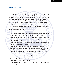## <span id="page-3-0"></span>*About the ACFE*

The Association of Certified Fraud Examiners is the world's premier provider of anti-fraud training and education. A leader in the global anti-fraud community, the ACFE has over 30,000 members, sponsors more than 100 chapters worldwide and provides anti-fraud educational materials to over 180 universities. Certified Fraud Examiners (CFEs) on six continents have investigated more than 1 million suspected cases of civil and criminal fraud. Together, with our members, the ACFE is reducing business fraud worldwide and inspiring public confidence in the value and integrity of the profession.

The ACFE is dedicated to the global advancement of the fight against fraud while increasing the recognition of the CFE credential. Every year the ACFE strives to support its mission by offering new resources and tools.

2004 Initiatives include:

- Enhanced selection of training on timely fraud topics like international bribery, e-fraud, insurance fraud, Sarbanes-Oxley, statement analysis and fraud prevention.
- Conferences and seminars in cities around the world including Calgary, London, Toronto, Vancouver, Auckland, Hong Kong and Melbourne. Spanish language anti-fraud courses are also being conducted.
- Expanded ACFE resources, focused on research and development of comprehensive antifraud educational and training materials.
- Anti-fraud database including searchable fraud-related articles at CFEnet.com
- Enhanced Higher Education Initiative providing anti-fraud educational materials and fee-waived attendance at seminars and conferences worth up to \$800,000 to academics worldwide who commit to provide anti-fraud education at their colleges and universities.
- A new *Corporate Fraud Handbook* providing up-to-date information on fraud schemes perpetrated in business and government.
- A college textbook, *Principles of Fraud Examination*, which is being published to support dedicated courses in fraud examination.
- Expanded *Fraud Magazine* with more articles providing practical solutions to today's fraud challenges.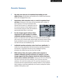## <span id="page-4-0"></span>*Executive Summary*

- ✓ **This study covers 508 cases of occupational fraud totaling over \$761 million in losses.** All information was provided by the Certified Fraud Examiners (CFEs) who investigated these cases.
- ✓ **Organizations suffer tremendous costs as a result of occupational fraud and abuse.** Participants in this study, anti-fraud specialists with a median 16

years' experience in the fraud examination field, estimate that the typical U.S. organization loses 6% of its annual revenues to fraud. Applied to the US Gross Domestic Product for 2003, this translates to approximately \$660 billion in total losses.

✓ **Our data strongly supports Sarbanes-Oxley's requirement for audit committees to establish confidential reporting mechanisms.** Occupational



frauds in our study were much more likely to be detected by a tip than through other means such as internal audits, external audits, and internal controls. Among frauds committed by owners and executives, which tend to be the most costly, over half of all cases were identified by a tip.

✓ **Confidential reporting mechanisms reduce fraud losses significantly.** The median loss among organizations that had anonymous reporting mechanisms was \$56,500. In organizations that did not have established reporting procedures, the median loss was more than twice as high.

✓ **While Sarbanes-Oxley only requires publicly traded companies to establish confidential reporting mechanisms for employees, our data strongly suggests that these programs should also embrace third-party sources such as customers and vendors.** Among cases that were detected by a tip, 60% of the tips came from employees, 20% of the tips came from customers, 16% came from vendors, and 13% came from anonymous sources. Companies that have implemented basic employee hotlines to ensure Sarbanes-Oxley compliance could detect significantly more frauds by making their hotlines available to third parties as well.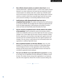✓ **More effective internal controls are needed to detect fraud.** Internal controls ranked fourth – behind *By Accident* – in terms of the number of frauds detected in our study. Furthermore, the frauds that were detected by internal controls tended to be relatively small, with a median loss of \$40,000, which was by far the lowest of any detection method. More effective types of internal controls are needed to detect fraud, especially larger frauds that may involve senior personnel overriding or circumventing traditional internal controls.

✓ **Small businesses suffer disproportionately large losses due to occupational fraud and abuse.** The median cost experienced by small businesses in our study was \$98,000. This was higher than the median loss experienced by all but the very largest organizations. Small businesses are less likely to be able to survive such losses and should better protect themselves from fraud.

✓ **The loss caused by occupational fraud is directly related to the position of the perpetrator.** Frauds committed by owners and executives caused a median loss of \$900,000, which was six times higher than the losses caused by managers, and 14 times higher than the losses caused by employees. Despite this fact, organizations were less likely to take legal action against owners and executives who had committed fraud than they were against employees and managers. This may remove a useful deterrent and unnecessarily expose such organizations to additional high-dollar frauds.

✓ **Most occupational fraudsters are first time offenders.** Only 12% of the fraudsters in our study had a previous conviction for a fraud-related offense. Criminal background checks can help organizations make informed hiring decisions, but they will not weed out all fraudsters because most frauds are committed by apparently honest employees.

✓ **The most cost-effective way to deal with fraud is to prevent it.** According to our study, once an organization has been defrauded it is unlikely to recover its losses. The median recovery among victim organizations in our study was only 20% of the original loss. Almost 40% of victims recovered nothing at all.

❇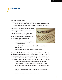# <span id="page-6-0"></span>*Introduction 1*

#### **What is Occupational Fraud?**

The term "occupational fraud" may be defined as:

*"The use of one's occupation for personal enrichment through the deliberate misuse or misapplication of the employing organization's resources or assets."* 

This definition is very broad, encompassing a wide range of misconduct by employees, managers, and executives. Occupational fraud schemes can be as simple as pilferage of company supplies or as complex as sophisticated financial statement frauds. All occupational fraud schemes have four key elements in common. The activity:

- is clandestine;
- violates the perpetrator's fiduciary duties to the victim organization;



- is committed for the purpose of direct or indirect financial benefit to the perpetrator; and
- costs the employing organization assets, revenue, or reserves.

Occupational fraud and abuse is a widespread problem that affects practically every organization, regardless of size, location, or industry. The ACFE has made it a goal to better educate the public and anti-fraud professionals about this threat. In 1996, we released the first *Report to the Nation on Occupational Fraud and Abuse*, the largest known privately funded study on the subject. The stated goals of that report were to:

- Summarize the opinions of experts on the percentage and amount of organizational revenue lost to all forms of occupational fraud and abuse
- Examine the characteristics of the employees who commit occupational fraud and abuse
- Determine what kinds of organizations are victims of occupational fraud and abuse
- Categorize the ways in which serious fraud and abuse occurs.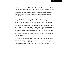In 2002 we issued our second *Report to the Nation*. Like the first Report, the 2002 edition was also based on detailed case information supplied by CFEs, but this report expanded on the first. In 2002 we revised our survey instrument to gather more useful information on the specific methods used to commit occupational fraud. We also gathered information on the legal dispositions of the cases, which had not been included in the 1996 *Report*.

Like the fight against fraud, the task of gathering meaningful information about fraud is an arduous and ongoing process. With each successive edition of the *Report to the Nation*, it is our goal to provide better, more accurate and more useful information.

In the present edition of the Report, we have again expanded its scope. Our 2004 survey of CFEs was designed to gather the same key information that was present in the first two *Reports to the Nation*, but in this edition we added key questions on methods of detection and the effectiveness of anti-fraud controls in limiting fraud losses. We also added more demographic questions on the perpetrators and victims of occupational fraud to give us an even better picture of who commits fraud and who suffers from it.

The result of these changes is what we believe to be the most complete and useful edition of the *Report to the Nation* to date. The information contained in this Report should be of great value to anti-fraud practitioners everywhere. It also should offer stark lessons and valuable insights to any organization concerned with limiting its exposure to occupational fraud and abuse.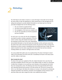# <span id="page-8-0"></span>*Methodology*

The *2004 Report to the Nation* is based on a survey that began in late 2003 and ran through the early months of 2004. We distributed an online questionnaire to CFEs throughout the US asking each participant to provide detailed information on one fraud case he or she had personally investigated that met the following criteria:

- 1. The case involved occupational fraud;
- 2. The fraud occurred within the last two years;
- 3. The investigation of the fraud was complete; and
- 4. The CFE was reasonably sure that the perpetrator had been identified.

For each case in our survey, the CFE who investigated it was asked to provide a narrative explanation of how the scheme worked, along with detailed information about the perpetrator and the victim of the crime. Respondents



also provided information on how the frauds were detected, and the anti-fraud controls that the victims had in place at the time the frauds occurred. The goal was to help us measure the effectiveness of various controls in identifying fraud and limiting fraud losses. Finally, CFEs were asked to describe how the victims responded to the frauds after they had been detected, including whether any criminal or civil legal actions were taken.

Our survey yielded 508 usable cases of occupational fraud. The data in this Report is based solely on the information from those 508 cases. Cumulatively, the frauds in this study caused over \$761 million in total losses.

#### **Who Provided the Data?**

The data in this report was supplied by CFEs who related information from cases they had personally investigated. Because CFEs work in many different fields, we asked our respondents to define their occupation so we would have some indication of the perspective from which they were viewing these crimes. The following chart shows that approximately half of those who responded deemed *fraud examiner* to be their primary role. This was an increase from 28% in our 2002 Report. We believe this indicates an increase in the demand for professionals dedicated specifically to the detection, prevention and investigation of fraud, whereas in the past these duties were often merged into other, more traditional job functions.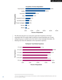

**Occupations of Survey Respondents 1**

The CFEs who took part in our survey had a great deal of experience in the fraud examination field. The median length of experience among respondents was 16 years, making this group an excellent source from which to draw meaningful information. The following chart shows the distribution of the respondents' experience.



#### **Participants' Fraud-Related Experience**

<sup>&</sup>lt;sup>1</sup> The sum of percentages in this chart exceeds 100% because a number of participants identified themselves under more than one occupational category.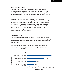#### *Where Did the Frauds Occur?*

The victims of occupational fraud are the organizations that employ the fraud perpetrators and suffer losses as a result of these crimes. The frauds in our study occurred in a wide range of organizations, based on size, industry and type of organization. The victims in our study had gross annual revenues ranging from a low of \$25,000 to a high of over \$80 billion, with median annual revenues of \$26 million.

It should be remembered that our survey was not designed to measure the prevalence of fraud in various industries or types of organizations; therefore, we did not seek a statistically random sample of victim organizations from which to gather our information. The data in this report was provided by CFEs based on cases they had personally investigated, so to some extent the information on victims in this report is reflective of the types of organizations that employ or hire CFEs. Nevertheless, the following data shows that the pool of victims in our study was well distributed over several key fields.

#### **Types of Organizations**

The following chart shows the distribution of frauds in our survey, based on the type of organization that was victimized. Most of the frauds occurred in privately held or publicly traded companies, although government agencies and not-for-profit organizations were well represented.

Privately held companies suffered the largest median losses, followed by public companies and not-for-profit organizations. Government agencies had the lowest median losses by far, at \$37,500 per scheme.



#### **Organization Type of Victims**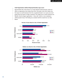#### **Small Organizations Suffered Disproportionately Large Losses**

Approximately 46% of the frauds in our study attacked small businesses, which we define as organizations that employ fewer than 100 people. Given their relative size, the impact on small businesses from the occupational frauds in our survey was much greater than the impact on larger companies. The median loss in small companies was \$98,000. Only the largest organizations – those with 10,000 or more employees suffered greater losses. This finding was consistent with the results from our 2002 Report.



#### **Percent of Cases Based on Size of Victim Organization**





**Median Loss**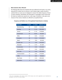#### **What Industries Were Affected?**

The following table shows the industries that were affected by the frauds in our survey, along with the median loss for schemes in each industry. Again, readers should be cautioned that our survey was not designed to measure the relative frequency of fraud in various industries. Nevertheless, this information is meaningful in that it shows that the frauds we studied were spread over a wide range of industries. It also gives some measure of how various industries are affected by occupational fraud.

| <b>INDUSTRY</b>    | # CASES | % CASES <sup>2</sup> | <b>MEDIAN LOSS</b> |
|--------------------|---------|----------------------|--------------------|
| Manufacturing      | 65      | 12.9%                | \$125,000          |
| <b>Banking</b>     | 56      | 11.1%                | \$101,000          |
| Service            | 56      | 11.1%                | \$139,000          |
| Government         | 53      | 10.5%                | \$45,000           |
| Other              | 47      | $9.3\%$              | \$145,000          |
| <b>Insurance</b>   | 46      | 9.1%                 | \$172,500          |
| Retail             | 40      | 7.9%                 | \$35,500           |
| <b>Health Care</b> | 37      | 7.3%                 | \$105,000          |
| Education          | 31      | 6.1%                 | \$31,000           |
| Construction       | 17      | 3.4%                 | \$145,000          |
| Transportation     | 17      | 3.4%                 | \$225,000          |
| Oil & Gas          | 16      | 3.2%                 | \$101,500          |
| Communication      | 13      | 2.6%                 | \$150,000          |
| <b>Utility</b>     | 13      | 2.6%                 | \$30,000           |
| <b>Real Estate</b> | 11      | $2.2\%$              | \$385,000          |
| Agriculture        | 6       | 1.2%                 | \$1,080,000        |

#### **Frequency and Median Loss of Occupational Frauds Based on Industry**

<sup>2</sup> The sum of percentages in this column exceeds 100% because some victim organizations were characterized as belonging to more than one industry category.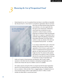# <span id="page-13-0"></span>*Measuring the Cost of Occupational Fraud 3*

Determining the true cost of occupational fraud and abuse is most likely an impossible task. Because fraud is a crime based on concealment, organizations often do not know



when they are being victimized. Many frauds are never detected, or are only caught after they have gone on for several years. Furthermore, many frauds that are detected are never reported for a variety of reasons, and those frauds that are reported are often not prosecuted. Finally, there is no agency or organization that is specifically charged with gathering comprehensive fraud-related information. All of these factors combine to make any estimate of the total cost of occupational fraud just that – an estimate.

In our study we asked CFEs to give us their best estimate of the percent of revenues a typical organization in the US loses in a given year as a result of occupational fraud (for government agencies, we asked what percent of the annual budget was lost). The answers to this question were based on the opinions of CFEs, not specific data from the cases they had reported. But keep in mind that our body of respondents was

made up of experts in fraud prevention and detection, with 16 years' median experience in the field. Given the obstacles to developing meaningful data on the overall costs of fraud, this may be as reliable a source as is available.

The median response among the CFEs we surveyed was that the typical organization loses 6% of its annual revenues to occupational fraud, the same result we obtained from our studies in 1996 and 2002. This is a staggering figure. If multiplied by the U.S. Gross Domestic Product, which in 2003 totaled just under \$11 trillion, it would translate into \$660 billion in annual fraud losses.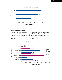

#### **Total Occupational Fraud Losses 3**

#### **Distribution of Dollar Losses**

There were 487 cases in our study in which the respondent was able to specify the amount of loss suffered by the victim organization. The median loss for all cases in the study was \$100,000. As the following distribution shows, 15% of the frauds in our study caused losses of at least \$1 million, while one in five cost at least \$500,000. This distribution was very similar to the one in our 2002 Report.



#### **Distribution of Dollar Losses**

<sup>3</sup> Dollar figures are based on an estimated 6% loss of annual revenues to fraud, multiplied by Annual U.S. Gross Domestic Product.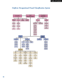## <span id="page-15-0"></span>*Uniform Occupational Fraud Classification System*

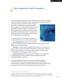# <span id="page-16-0"></span>*How Occupational Fraud is Committed 4*

One of the major goals of this Report was to classify each fraud according to the methods used by the perpetrator. This gives us a better understanding of how fraud is committed

and the types of schemes that tend to produce the largest losses. Also, by breaking down occupational frauds into distinct categories, we are better able to study their common characteristics, which in turn assists in the development of better anti-fraud tools. Accordingly, every fraud in our study was classified according to the *Uniform Occupational Fraud Classification System* (commonly known as the Fraud Tree), [which is illustrated on the preceding page.](#page-15-0)

As was first stated in the *1996 Report to the Nation*, all occupational frauds fall into one of three major categories:

**• Asset Misappropriations**, which involve the theft or

misuse of an organization's assets. (Common examples include skimming revenues, stealing inventory and payroll fraud.)

**• Corruption**, in which fraudsters wrongfully use their influence in a business transaction in order to procure some benefit for themselves or another person, contrary to their duty to their employer or the rights of another. (Common examples include accepting kickbacks, and engaging in conflicts of interest.)

**• Fraudulent Statements**, which generally involve falsification of an organization's financial statements. (Common examples include overstating revenues and understating liabilities or expenses.)

Asset misappropriations were by far the most common of the three categories, occurring in over 90% of the cases we reviewed. However, these schemes had the lowest median loss, at \$93,000. Conversely, fraudulent statements were the least commonly reported frauds (7.9%) but they had the highest median loss at \$1,000,000.4



<sup>4</sup> It should be noted that a number of cases involved aspects of more than one type of occupational fraud. For instance, several schemes involved both corruption and asset misappropriation. We were unable to subdivide the losses in cases where there were multiple schemes to show exactly how much of the loss was attributable to each of the component schemes. The same is true for all charts in this report showing median loss based on scheme type.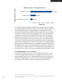

#### **Methods of Fraud – All Occupational Frauds 5**

The median loss figure for fraudulent statements was much lower than we expected and was significantly lower than what was reported in our 2002 study. The reader must be cautioned that this does not necessarily indicate a declining trend in the costs associated with financial statement fraud. As indicated earlier, this report is based on a compilation of information from frauds investigated by CFEs. It was not intended to be a comprehensive study on financial statement frauds, and we were not necessarily working from a representative sample of those crimes. There were only 40 financial statement schemes reported in our survey, too few to draw a meaningful conclusion on the impact of all financial statement frauds. Furthermore, the losses caused by these schemes can vary wildly based on a number of factors related to the specific organization whose financials are falsified. Reports of recent scandals indicate that shareholders are still suffering massive losses due to financial statement fraud. While the median loss in our study was low, we still found that one in six financial statement fraud schemes cost its victims at least \$10 million, with three cases generating at least \$50 million in losses.

#### **Asset Misappropriations – Cash vs. Non-Cash**

As the above chart illustrated, over 90% of the occupational fraud cases in our study involved the misappropriation of assets. Not surprisingly, the asset that was most frequently targeted was cash. Of 471 asset misappropriation cases we reviewed, 93% involved the misappropriation of cash, while only 22% involved misappropriation of non-cash assets. The median loss in the two categories was almost identical.

<sup>5</sup> The sum of percentages in this chart exceeds 100% because a number of cases involved multiple schemes that fell into more than one category.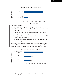#### **Breakdown of Asset Misappropriations 6**



#### **Cash Misappropriations**

Out of 508 cases in our study, 440 cases (87%) involved some form of cash misappropriation. According to the Fraud Tree, cash frauds fall into one of three categories:

- **Fraudulent Disbursements**, in which the perpetrator causes his organization to disburse funds through some trick or device. Common examples include submitting false invoices or forging company checks.
- **Skimming**, in which cash is stolen from an organization before it is recorded on the organization's books and records
- **Cash Larceny**, in which cash is stolen from an organization after it has been recorded on the organization's books and records

Approximately three-fourths of the cash frauds in our study involved some form of fraudulent disbursement, making this the most common category by far. Schemes that involved a fraudulent disbursement also had the highest median loss, at \$125,000.



#### **Breakdown of Cash Misappropriations 7**

<sup>6</sup> The sum of percentages in this chart exceeds 100% because a number of cases involved the misappropriation of more than one type of asset.

<sup>7</sup> The sum of percentages in this chart exceeds 100% because a number of cases involved multiple schemes that fell into more than one category.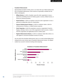#### **Fraudulent Disbursements**

Approximately two-thirds of all the cases in our study (326 out of 508) involved some form of fraudulent disbursement. These schemes can generally be divided into five distinct subcategories:

- **Billing Schemes**, in which a fraudster causes the victim organization to issue a payment by submitting invoices for fictitious goods or services, inflated invoices, or invoices for personal purchases.
- **Payroll Schemes**, in which an employee causes the victim organization to issue a payment by making false claims for compensation.
- **Expense Reimbursement Schemes**, in which an employee makes a claim for reimbursement of fictitious or inflated business expenses.
- **Check Tampering**, in which the perpetrator converts an organization's funds by forging or altering a check on one of the organization's bank accounts, or steals a check the organization has legitimately issued to another payee.
- **Register Disbursement Schemes**, in which an employee makes false entries on a cash register to conceal the fraudulent removal of currency.

Just over half of the fraudulent disbursement cases in our study involved billing fraud, making this the most common type of fraudulent disbursement scheme. The highest median loss occurred in schemes involving check tampering.



#### **Breakdown of Fraudulent Disbursements <sup>8</sup>**

<sup>8</sup> The sum of percentages in this chart exceeds 100% because a number of cases involved multiple schemes that fell into more than one category.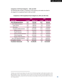#### **Comparison of All Fraud Categories – 2002 and 2004**

The following table provides a comparison of the frequency and median loss data for all categories of occupational fraud in 2004 and 2002.

#### **Comparison of All Occupational Fraud Categories by 2004 and 2002 Data**

|                                   |             | 2004               |         | 2002        |  |
|-----------------------------------|-------------|--------------------|---------|-------------|--|
| <b>Scheme Type</b>                | % Cases $9$ | <b>Median Cost</b> | % Cases | Median Cost |  |
| <b>Asset Misappropriations</b>    | 92.7        | \$93,000           | 85.7    | \$80,000    |  |
| <b>Cash Misappropriations</b>     | 86.6        | \$98,000           | 77.8    | \$80,000    |  |
| Cash Larceny                      | 20.7        | \$80,000           | 6.9     | \$25,000    |  |
| Skimming                          | 24.4        | \$85,000           | 24.7    | \$70,000    |  |
| <b>Fraudulent Disbursements</b>   | 64.2        | \$125,000          | 55.4    | \$100,000   |  |
| <b>Billing Schemes</b>            | 33.5        | \$140,000          | 25.2    | \$160,000   |  |
| <b>Payroll Schemes</b>            | 12.6        | \$90,000           | 9.8     | \$140,000   |  |
| <b>Expense Reimbursements</b>     | 14.2        | \$92,000           | 12.2    | \$60,000    |  |
| <b>Check Tampering</b>            | 20.1        | \$155,000          | 16.7    | \$140,000   |  |
| <b>Register Disbursements</b>     | 2.8         | \$18,000           | 1.7     | \$18,000    |  |
| <b>Non-Cash Misappropriations</b> | 20.5        | \$100,000          | 9.0     | \$200,000   |  |
| <b>Corruption Schemes</b>         | 30.1        | \$250,000          | 12.8    | \$530,000   |  |
| <b>Fraudulent Statements</b>      | 7.9         | \$1,000,000        | 5.1     | \$4,250,000 |  |

<sup>9</sup> Readers may note that the percentages in this column do not match the percentages in earlier charts. For instance, in this table skimming is shown to have occurred in 24.4% of cases in 2004, while in the chart entitled Breakdown of Cash Misappropriations on page 13 skimming had a value of 28.2%. That is because this table shows percentages based on our entire pool of 508 schemes, whereas the other chart reflected the percentage of skimming schemes based on the pool of cash misappropriations.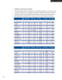#### **Methods of Fraud Based on Industry**

The following table shows the categories of occupational fraud that occurred based on the industry in which the victim organization operated. For example, there were 65 cases in our study that occurred in the manufacturing sector. Eleven of these cases (16.9%) involved skimming. We have placed the most common scheme for each industry in bold type.

|                    | <b>Total</b><br>Cases | #              | <b>Skimming</b><br>$\frac{0}{0}$ |                | <b>Cash Larc</b><br>$\frac{0}{0}$ | <b>Billing</b><br>#<br>$\mathcal{O}/\mathcal{O}$ |       | Payroll<br>$\frac{0}{0}$ |         |                          | Exp. Reimb.<br>$\%$ |
|--------------------|-----------------------|----------------|----------------------------------|----------------|-----------------------------------|--------------------------------------------------|-------|--------------------------|---------|--------------------------|---------------------|
|                    |                       |                |                                  |                |                                   |                                                  |       |                          |         |                          |                     |
| Manufacturing      | 65                    | 11             | 16.9%                            | 6              | 9.2%                              | 23                                               | 35.4% | $\overline{7}$           | 10.8%   | 12                       | 18.5%               |
| <b>Banking</b>     | 56                    | 8              | 14.3%                            | 10             | 17.9%                             | 11                                               | 19.6% | 1                        | 1.8%    | 3                        | 5.4%                |
| <b>Service</b>     | 56                    | 16             | 28.6%                            | 16             | 28.6%                             | 18                                               | 32.1% | 13                       | 23.2%   | 13                       | 23.2%               |
| Government         | 53                    | 15             | 28.3%                            | 16             | 30.2%                             | 16                                               | 30.2% | 9                        | 17.0%   | 8                        | 15.1%               |
| Insurance          | 46                    | 8              | 17.4%                            | $\overline{4}$ | 8.7%                              | 23                                               | 50.0% | $\overline{3}$           | 6.5%    | $\overline{2}$           | 4.3%                |
| Retail             | 40                    | 16             | 40.0%                            | 17             | 42.5%                             | 4                                                | 10.0% | 1                        | 2.5%    | 1                        | 2.5%                |
| <b>Health care</b> | 37                    | 8              | 21.6%                            | 11             | 29.7%                             | 13                                               | 35.1% | 5                        | 13.5%   | $\overline{2}$           | 5.4%                |
| Education          | 31                    | 8              | 25.8%                            | $\overline{2}$ | 6.5%                              | 13                                               | 41.9% | 8                        | 25.8%   | 7                        | 22.6%               |
| Construction       | 17                    | $\overline{4}$ | 23.5%                            | 1              | 5.9%                              | $\overline{3}$                                   | 17.6% | 5                        | 29.4%   | $\overline{2}$           | 11.8%               |
| Transportation     | 17                    | 3              | 17.6%                            | 1              | 5.9%                              | 9                                                | 52.9% | 4                        | 23.5%   | $\mathcal{P}$            | 11.8%               |
| Oil & gas          | 16                    | 6              | 37.5%                            | $\overline{2}$ | 12.5%                             | 8                                                | 50.0% | 1                        | 6.3%    | $\overline{3}$           | 18.8%               |
| Communication      | 13                    | 4              | 30.8%                            | 3              | 23.1%                             | 7                                                | 53.8% | $\overline{2}$           | 15.4%   | 4                        | 30.8%               |
| <b>Utility</b>     | 13                    | $\Omega$       | 0.0%                             | 1              | 7.7%                              | 8                                                | 61.5% | $\Omega$                 | 0.0%    | 3                        | 23.1%               |
| Real estate        | 11                    | 6              | 54.5%                            | 5              | 45.5%                             | 4                                                | 36.4% | $\Omega$                 | $0.0\%$ | $\overline{\phantom{a}}$ | 18.2%               |
| Agriculture        | 6                     |                | 16.7%                            | $\overline{2}$ | 33.3%                             | $\overline{\mathbf{2}}$                          | 33.3% | $\overline{2}$           | 33.3%   | $\Omega$                 | $0.0\%$             |

|                    | Total<br>Cases |                         | <b>Check Tamp</b><br>$\frac{0}{0}$ |                | <b>Register</b><br>$\frac{0}{0}$ | Non-Cash<br>$\frac{0}{0}$ |         | Corruption<br>$\frac{0}{0}$ |       | #                        | Frd. Stmts.<br>$\frac{0}{0}$ |
|--------------------|----------------|-------------------------|------------------------------------|----------------|----------------------------------|---------------------------|---------|-----------------------------|-------|--------------------------|------------------------------|
|                    |                |                         |                                    |                |                                  |                           |         |                             |       |                          |                              |
| Manufacturing      | 65             | 15                      | 23.1%                              | 1              | 1.5%                             | 21                        | 32.3%   | 25                          | 38.5% | 9                        | 13.8%                        |
| <b>Banking</b>     | 56             | 4                       | 7.1%                               | 1              | 1.8%                             | 3                         | 5.4%    | 20                          | 35.7% | 5                        | 8.9%                         |
| <b>Service</b>     | 56             | 18                      | 32.1%                              | $\overline{2}$ | 3.6%                             | 9                         | 16.1%   | 14                          | 25.0% | $\overline{3}$           | 5.4%                         |
| Government         | 53             | 6                       | 11.3%                              | 1              | 1.9%                             | 14                        | 26.4%   | 17                          | 32.1% | $\mathbf{0}$             | 0.0%                         |
| Insurance          | 46             | 8                       | 17.4%                              | $\Omega$       | $0.0\%$                          | 6                         | 13.0%   | 13                          | 28.3% | 3                        | 6.5%                         |
| Retail             | 40             | 3                       | 7.5%                               | 8              | 20.0%                            | 15                        | 37.5%   | 6                           | 15.0% | 3                        | 7.5%                         |
| <b>Health care</b> | 37             | 8                       | 21.6%                              | 1              | 2.7%                             | 5                         | 13.5%   | 14                          | 37.8% | $\overline{4}$           | 10.8%                        |
| Education          | 31             | 9                       | 29.0%                              | $\Omega$       | $0.0\%$                          | 10                        | 32.3%   | 9                           | 29.0% | $\mathcal{L}$            | 6.5%                         |
| Construction       | 17             | 10                      | 58.8%                              | $\mathbf{0}$   | $0.0\%$                          | $\mathbf{0}$              | $0.0\%$ | $\overline{2}$              | 11.8% | 3                        | 17.6%                        |
| Transportation     | 17             | 1                       | 5.9%                               | $\mathbf{0}$   | $0.0\%$                          | 6                         | 35.3%   | 10                          | 58.8% | 1                        | 5.9%                         |
| Oil & gas          | 16             | $\overline{2}$          | 12.5%                              | $\mathbf{0}$   | $0.0\%$                          | 3                         | 18.8%   | $\overline{7}$              | 43.8% | 1                        | 6.3%                         |
| Communication      | 13             | $\overline{2}$          | 15.4%                              | $\mathbf{0}$   | $0.0\%$                          | 3                         | 23.1%   | 6                           | 46.2% | $\overline{\phantom{a}}$ | 15.4%                        |
| <b>Utility</b>     | 13             |                         | 7.7%                               | $\mathbf{0}$   | 0.0%                             | 3                         | 23.1%   | 5                           | 38.5% | $\Omega$                 | $0.0\%$                      |
| Real estate        | 11             | 1                       | 9.1%                               | $\mathbf{0}$   | $0.0\%$                          | $\overline{2}$            | 18.2%   | 4                           | 36.4% | 1                        | 9.1%                         |
| Agriculture        | 6              | $\overline{\mathbf{2}}$ | 33.3%                              | $\mathbf{0}$   | 0.0%                             | $\overline{0}$            | 0.0%    | 1                           | 16.7% | $\overline{0}$           | $0.0\%$                      |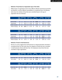#### **Methods of Fraud Based on Organization Type of the Victim**

Different types of organizations tend to have different attitudes toward fraud prevention and detection, as well as different vulnerabilities to occupational fraud. The following table shows the methods of fraud that were committed based on the type of organization that was victimized.

|                        | <b>Total</b><br><b>Cases</b> |     | Skimming<br># | Cash Larc<br>#<br>$\frac{0}{0}$ |                          | <b>Billing</b><br># |       | Payroll  <br> -<br># |            | Exp. Reimb.<br># $\frac{1}{\%}$ |          |
|------------------------|------------------------------|-----|---------------|---------------------------------|--------------------------|---------------------|-------|----------------------|------------|---------------------------------|----------|
|                        |                              |     |               |                                 |                          |                     |       |                      |            |                                 |          |
| Not-for-Profit         | 58                           | 14  | $24.1\%$      | <b>10</b>                       | $17.2\%$                 | 27                  | 46.6% | 10                   | $17.2\%$   | 8                               | 13.8%    |
| Government             | 75                           | -17 | 22.7%         | - 14                            | 18.7%                    | 24                  | 32.0% | 12                   | 16.0%      | 10                              | $13.3\%$ |
| <b>Public Company</b>  | 144                          | 22  | 15.3% 26      |                                 | 18.1% 55                 |                     | 38.2% | 6                    | $4.2\%$ 21 |                                 | 14.6%    |
| <b>Private Company</b> | 199                          | 64  |               |                                 | <b>32.2%</b> 52 26.1% 55 |                     | 27.6% | 32                   | 16.1%      | - 27                            | 13.6%    |

|                        | <b>Total</b><br>Cases | Check Tamp<br># $\frac{1}{\%}$<br># |         |      |                | $R$ egister Non-Cash |          | Corruption |       | Frd Stmts<br>$\frac{0}{0}$ |         |
|------------------------|-----------------------|-------------------------------------|---------|------|----------------|----------------------|----------|------------|-------|----------------------------|---------|
|                        |                       |                                     |         |      |                |                      |          |            |       |                            |         |
| Not-for-Profit         | 58                    | 26                                  | 44.8%   | 2    | $3.4\%$        | 5                    | 8.6%     | 12         | 20.7% | 3                          | $5.2\%$ |
| Government             | 75                    |                                     | $9.3\%$ | 1.   | $1.3\%$        | 24                   | 32.0% 25 |            | 33.3% | $\mathcal{L}$              | $2.7\%$ |
| <b>Public Company</b>  | 144                   | -11                                 | 7.6%    | $-5$ | 3.5%           | 40                   | 27.8%    | 57         | 39.6% | 12                         | $8.3\%$ |
| <b>Private Company</b> | 199                   | 54                                  | 27.1%   |      | $6\quad 3.0\%$ | 30                   | 15.1%    | 47         | 23.6% | 20                         | 10.1%   |

#### **Methods of Fraud in Small Businesses**

Because our survey suggests that small businesses are disproportionately vulnerable to occupational fraud, we also broke down the categories of frauds that were committed in small businesses (those with fewer than 100 employees) versus those that were committed in larger organizations.

|                | Total<br>Cases |    | $\mathsf{Skimming}\atop\#$         | Cash Larc<br>0/0<br># |                            | <b>Billing</b><br>#<br>ዕ/ $\sigma$ |       | Payroll<br>#<br>$\frac{0}{0}$ |                 | #                      | Exp. Reimb.<br>0/0 |   |                                   |
|----------------|----------------|----|------------------------------------|-----------------------|----------------------------|------------------------------------|-------|-------------------------------|-----------------|------------------------|--------------------|---|-----------------------------------|
|                |                |    |                                    |                       |                            |                                    |       |                               |                 |                        |                    |   |                                   |
| Fewer than 100 | 224            | 68 | 30.4%                              | 56                    | 25.0%                      | 74                                 | 33.0% | 45                            | 20.1%           | 41                     | 18.3%              |   |                                   |
| 100 or More    | 265            | 53 | 20.0%                              | 44                    | 16.6%                      | 91                                 | 34.3% | 18                            | $6.8\%$ 28      |                        | 10.6%              |   |                                   |
|                | Total<br>Cases | #  | <b>Check Temp</b><br>$\frac{0}{0}$ | #                     | Register<br><sup>#</sup> % |                                    | #     |                               | Non-Cash<br>0/0 | Corruption<br>0/0<br># |                    | # | <b>Frd Stmts</b><br>$\frac{0}{0}$ |
|                |                |    |                                    |                       |                            |                                    |       |                               |                 |                        |                    |   |                                   |
| Fewer than 100 | 244            | 74 | 33.0%                              | 7                     | $3.1\%$                    | 39                                 | 17.4% | 56                            | 25.0%           | 22                     | 9.8%               |   |                                   |
| 100 or More    | 265            | 24 | $9.1\%$                            | 6                     | $2.3\%$                    | 60                                 | 22.6% | 91                            | 34.3%           | 17                     | 6.4%               |   |                                   |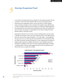# <span id="page-23-0"></span>*Detecting Occupational Fraud 5*

In any study of occupational fraud cases, perhaps the most important question that can be asked is, "How was the fraud detected?" After all, next to preventing fraud, the primary goal of any organization when it comes to this topic is to detect ongoing crimes as quickly as possible in order to minimize their negative impact. With this goal in mind, we sought to determine how the frauds in our study were initially detected by the organizations that were victimized. By studying how past frauds were identified, we hope to provide some guidance to organizations on how they can design their fraud detection efforts to catch future crimes.

Respondents were given a list of common means for detecting fraud, and were asked to identify how the frauds in their cases were initially discovered. As the following chart shows, the most common means of detection – by a wide margin – was through tips. The same was true in our 2002 study. We note that Section 301 of the Sarbanes-Oxley Act ("SOX") amends the Securities Exchange Act of 1934, requiring audit committees of publicly traded companies to establish procedures for "the confidential, anonymous submission by employees of the issuer of concerns regarding questionable accounting or auditing matters." This data, which suggests that tips are the most effective way to detect fraud, seems to support that mandate.



#### **Initial Detection of Occupational Frauds10**

<sup>&</sup>lt;sup>10</sup> The sum of percentages in this chart exceeds 100% because in some cases respondents identified more than one detection method.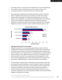The majority of tips in our study came from employees, but it is worth noting that tips from customers, vendors, and anonymous sources, were also common, each accounting for between 10 and 20% of all *tip* cases in 2004 and 2002.

Many organizations establish internal reporting mechanisms, but fail to make these known or available to third parties such as customers and vendors who conduct business with the organization. It is often these third parties who are in the best position to see characteristics of occupational fraud. Although Section 301 of SOX only requires audit committees to establish procedures for confidential reporting by *employees*, our study clearly indicates that any effective reporting structure should be designed to reach out to customers, vendors, and other third party sources as well.



**Percent of Tips by Source 11**

#### **Detecting Fraud by Owners and Executives**

Although the data from our survey strongly supports Sarbanes-Oxley's call for the establishment of anonymous reporting mechanisms, the information we gathered did not provide the same measure of support for the significant burden SOX (particularly Section 404) places on the internal controls as a fraud detection tool. Obviously, strong internal controls can have a significant impact on fraud and a well-designed control structure should be a priority in any comprehensive anti-fraud program. But as the chart on the preceding page shows, internal controls placed fourth among the cases we reviewed – behind *By Accident* – in terms of the number of cases detected.

The limited effect of internal controls in detecting fraud was particularly evident when we measured the method of detection in cases committed by owners and executives. These schemes were the most costly in our study and they would be expected to be among the most difficult to detect, given the level of authority and the ability to override controls that owners and executives generally possess. Furthermore, under Section 302 of SOX, these cases must be disclosed to auditors and the audit committee regardless of whether they are material.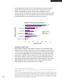As the following chart shows, only 6% of the owner/executive cases were detected through internal controls, which was only one-third the rate for all cases. Of six detection methods that were tested, internal controls ranked fifth in owner/ executive cases. On the other hand, over half of all owner/executive cases were initially discovered through a tip. This lends additional credence to SOX's mandate that audit committees establish internal reporting mechanisms such as hotlines.



#### **Detection of Frauds by Owner/Executives12**

#### **Detecting the Largest Frauds**

We also wanted to determine what methods of detection were most effective in highdollar fraud cases. Limiting our review to the 71 cases in our study that caused losses of \$1 million or more, we found that tips were again the most effective detection method, at 43%, which was slightly higher than the rate among all cases. Internal controls again faired poorly as a detection method, catching only 8% of the million-dollar cases in our study. External audits had a better rate of success among these high dollar frauds than among all cases, but they still only ranked fourth in terms of effectiveness, and they still lagged significantly behind internal audits in terms of catching high-dollar schemes.<sup>13</sup> External audits also trailed accidental detection in this category.

<sup>&</sup>lt;sup>12</sup> The sum of percentages in this chart exceeds 100% because in some cases respondents identified more than one detection method.

<sup>13</sup> Of the 71 cases in our study exceeding \$1 million in losses, we received 45 responses that specified the gross annual revenues of the victim organization at the time of the fraud. (This question only applied to commercial enterprises). Of these 45 cases, the loss caused by fraud appeared to exceed 5% of annual income (a common initial test for materiality) in 26 cases. Defining these frauds as "material", we found that only six of the 26 cases (23%) were detected by external audits. Narrowing this focus to "material" frauds that occurred in publicly traded companies, we encountered only five "material" fraud cases, none of which were identified by an external audit.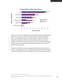

**Detection Method for Million-Dollar Schemes14**

Another way to measure the effectiveness of various detection methods in identifying large schemes is to measure the median loss in frauds based on how they were detected. When we ran this data, we found, to our surprise, that the median loss in schemes detected *By Accident* was \$140,000, which exceeded the median loss in all other categories. The fact that so many large frauds are detected by accident certainly implies that there is much more opportunity for organizations to reduce costs by proactively seeking out fraud and abuse.

The data in this chart also, once again, suggests that traditional internal controls do a poor job of catching large frauds. The median loss among schemes detected by internal controls was \$40,000, which was less than half of the loss in the next-lowest category.

<sup>&</sup>lt;sup>14</sup> The sum of percentages in this chart exceeds 100% because in some cases respondents identified more than one detection method.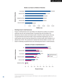

#### **Median Loss Based on Method of Detection**

#### **Detecting Fraud in Small Businesses**

Frauds in small businesses were more likely to be detected by accident or by external audit than was the case among all frauds. Conversely, they were less likely to be detected by internal controls and internal audit. It should be noted, however, that only 70 small businesses had internal audit or fraud examination departments, yet in 35 small business cases the fraud was detected by an internal audit, which translates to an adjusted rate of 50%. This would tend to indicate that internal auditors can have a real impact in detecting occupational fraud and minimizing fraud losses in small businesses.



#### **Detection of Frauds in Small Businesses <sup>15</sup>**

<sup>&</sup>lt;sup>15</sup> The sum of percentages in this chart exceeds 100% because in some cases respondents identified more than one detection method.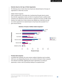#### **Detection Based on the Type of Victim Organization**

The following series of charts shows how frauds were detected based on the types of organizations in which they occurred.

#### *Publicly Traded Companies*

Public companies did a much better job of catching fraud through internal controls than did other organizations. Nearly one-third of occupational frauds in publicly traded companies were detected by internal controls, as opposed to less than one-fifth overall. However, the median loss in these schemes was relatively low, at \$63,500, and only one scheme appeared to be material (based on fraud losses that exceeded 5% of gross annual revenue).



#### **Detection of Frauds in Publicly Traded Companies16**

#### **Privately Held Companies**

In privately held companies, the most common method of detection was by accident, which was a very disappointing discovery. Over one-third of all frauds in these companies were detected accidentally, suggesting that private organizations are missing an

<sup>&</sup>lt;sup>16</sup> The sum of percentages in this chart exceeds 100% because in some cases respondents identified more than one detection method.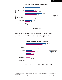

#### **Detection of Frauds in Privately Held Companies17**

#### **Government Agencies**

Government agencies were very successful at detecting occupational fraud through tips and internal audits, while a significantly lower percentage of cases were detected by accident in governmental agencies as opposed to the rate for all cases.



#### **Detection of Frauds in Government Agencies18**

<sup>&</sup>lt;sup>17</sup> The sum of percentages in this chart exceeds 100% because in some cases respondents identified more than one detection method.

<sup>&</sup>lt;sup>18</sup> The sum of percentages in this chart exceeds 100% because in some cases respondents identified more than one detection method.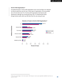#### **Not-for-Profit Organizations19**

Occupational frauds in not-for-profit organizations were much less likely to be detected by internal audits than was the case in other types of organizations. This was partially due to the fact that only 41% of not-for-profit organizations had internal audit departments, although even among this group only 17% detected their frauds through internal audit, which was still lower than the rate among all cases.



#### **Detection of Frauds in Not-for-Profit Organizations19**

<sup>&</sup>lt;sup>19</sup> The sum of percentages in this chart exceeds 100% because in some cases respondents identified more than one detection method.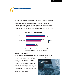# <span id="page-31-0"></span>*Limiting Fraud Losses 6*

Respondents were asked whether the victim organizations in the cases they reviewed had certain anti-fraud measures in place at the time the frauds occurred. The three measures tested for were anonymous reporting mechanisms (typically hotlines), internal audit or fraud examination departments, and external audits. The following chart shows the percent of victim organizations that had adopted these measures at the time of their frauds. The numbers are very similar to the results from our 2002 surveys.



#### **Frequency of Anti-Fraud Measures**

**Percentage of Victims That had Anti-Fraud Measures**

#### **Anonymous Fraud Hotlines**

In order to test the effectiveness of each anti-fraud control in limiting losses, we measured the median loss for organizations that had each control, versus the median

loss in organizations that did not. Using this test, we found that anonymous reporting mechanisms showed the greatest impact on fraud losses. Organizations that did not have reporting mechanisms suffered median losses that were over twice as high as organizations where anonymous reporting mechanisms had been established. This was consistent with the findings of our 2002 Report.

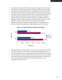This result is also consistent with the data we gathered showing that the most common way for frauds to be discovered is through tips. Obviously, hotlines and other reporting mechanisms are designed to facilitate tips on wrongdoing. The fact that tips were the most common means of detection, combined with the fact that organizations which had reporting mechanisms showed the greatest reduction in fraud losses, indicates that this is an extremely valuable anti-fraud resource, and gives further support to Sarbanes-Oxley's mandate for confidential reporting mechanisms. As was discussed earlier, the effectiveness of these reporting mechanisms is significantly higher when they are made available to customers, vendors, and other third parties, not just employees. Organizations that rushed to implement employee hotlines to comply with Sarbanes-Oxley may not have incorporated those valuable additional sources of information.



**Median Loss Based on Whether Organization had Hotline**

Curiously, anonymous reporting mechanisms were the least common anti-fraud measure of the three we tested for. Only a little over one-third of victim organizations in our study had established anonymous reporting structures at the time they were victimized. Given the data from our study, we believe that anonymous hotlines and other reporting mechanisms provide real, measurable anti-fraud benefits, and given their relatively low cost compared to other anti-fraud controls, it would seem advisable for more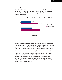#### **Internal Audits**

About 57% of the victim organizations in our study had internal audit or internal fraud examination departments. These organizations suffered a median loss of \$80,000, compared with the median loss of \$130,000 in organizations where there was no internal audit department.



**Median Loss Based on Whether Organization had Internal Audits**

The impact on fraud losses associated with internal audits was much greater than the impact associated with external audits (see below). Additionally, the data presented earlier on *Initial Detection of Occupational Frauds* shows that schemes were identified by internal audits at over twice the rate of external audits, despite the fact that victim organizations in our study were more likely to have external audits. The discrepancy between internal and external audits may be largely due to the fact that internal auditors generally are full-time employees of the victim organization, whereas external auditors spend a limited amount of time in a number of different organizations. In addition, external auditors are responsible only for frauds that may have a material impact on the financial statements as a whole. Nevertheless, the discrepancies between the two disciplines suggest a need for greater fraud training for external auditors, particularly given the enhanced fraud detection responsibilities imposed on them by auditing standard SAS No. 99. **Example 1998**<br> **Example 1998**<br> **Example 1999**<br> **Example 1999**<br> **Example 1999**<br> **Example 1999**<br> **Example 1999**<br> **Example 1999**<br> **Example 1999**<br> **Example 1999**<br> **Example 1999**<br> **Example 1999**<br> **Example 1999**<br> **Example 1999**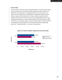#### **External Audits**

The most common anti-fraud measure among the victims in our study was the external audit. Seventy-five percent of victims employed independent auditors. However, the effectiveness of external audits in reducing fraud losses was not observable in our study. In fact, the median loss was actually *higher* in organizations that had external audits, as opposed to those that did not. Of course, there are several factors that contribute to the presence and size of fraud. But it was disappointing to find no trend indicating reduced losses as a result of external audits (such a trend did exist in 2002). The absence of a measurable impact as a result of external audits is consistent with the data we gathered on fraud detection, which showed that external audits generally ranked low – behind *By Accident* – as a means of catching fraud.



**Median Loss Based on Whether Organization had External Audits**

**Median Loss**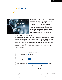# <span id="page-35-0"></span>*The Perpetrators 7*



The perpetrators of occupational fraud are the people who use their positions within an organization for personal enrichment through the deliberate misuse or misapplication of the organization's resources or assets. In our survey, we asked respondents to provide detailed information about the perpetrators of the crimes they had investigated.20 This data helps show how certain factors affect the nature of fraud and the size of losses inflicted upon victim organizations.

#### **The Effect of the Perpetrator's Position**

Generally speaking, the position a perpetrator holds within an organization will tend to have the most significant effect on the size of losses in a fraud scheme. As the level of authority for perpetrators rises, fraud losses rise correspondingly. This is borne out by the data in the following chart, which shows that the median loss in schemes involving owners and executives (\$900,000) was more than six times as high as the median loss caused by managers, and more than 14 times as high as the median loss in schemes involving employees.



<sup>&</sup>lt;sup>20</sup> In cases where there was more than one perpetrator, respondents were asked to provide data on the "Principal Perpetrator", the person who was in charge of the scheme and in the respondent's view was the primary culprit. 21The sum of percentages in this chart exceeds 100% because some cases involved multiple perpetrators from more than one category.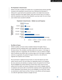#### **The Perpetrator's Annual Income**

Similar to the data on position, the median loss in occupational fraud schemes generally increased as the perpetrator's annual income rose. Obviously, this information is influenced to a great deal by the perpetrator's position, since higher-level personnel would be expected to have higher salaries. There were very few cases in our study in which the perpetrator earned more than \$200,000 a year (just under 5%), but in these cases median losses exceeded \$1,000,000.



#### **Perpetrator's Annual Income – Median Loss and Frequency**

#### **The Effect of Tenure**

Similar to position, we found a direct correlation between the length of time a perpetrator had been employed with a victim organization and the size of the loss in the fraud scheme. This correlation most likely exists for two reasons: 1) the longer an employee works for an organization, the more likely he or she is to advance to higher levels of authority (see *position* data on previous page; and 2) the longer an employee works for an organization, the greater the degree of trust he or she will tend to engender from superiors and co-workers.

This second factor is significant because frauds are crimes that depend upon their victims' trust for success. The more reliance an organization places on an employee, the more autonomy and authority an employee receives, the greater the risk of fraud. This fact highlights the peculiar dichotomy of fraud: these crimes cannot succeed without trust, but neither can business. Employers must be able to delegate authority to employees and must be able to trust that their employees will act appropriately and in their organization's best interests, yet too much delegation, too much trust, creates an environment in which fraud can thrive. The key, in any effective anti-fraud program, is to strike the right balance between oversight and trust.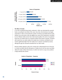

**Tenure of Perpetrator**

#### **The Effect of Gender**

In our first occupational fraud study, conducted in 1996, men dominated the reported frauds, accounting for two-thirds of the cases. Since then, that dominance has largely evaporated. In 2004, we found that the number of schemes was divided almost evenly between men and women, with only slightly more cases (53%) having been committed by men. Whatever strides women have made toward equality in the arena of occupational fraud were not evident when we compared median losses based on gender. Consistent with results from our earlier studies, the median loss in schemes committed by men remains significantly higher than the median loss in schemes committed by women, although the gap has narrowed somewhat from our 2002 results.

Because position appears to play such a strong role in determining the size of the loss in a fraud, we believe that the discrepancy in median loss for the two sexes most likely reflects the "glass ceiling" phenomenon, in which men tend to occupy more positions of high authority than women.





**Percent of Cases**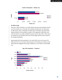

#### **Gender of Perpetrator – Median Loss**

#### **The Effect of Age**

There was a direct correlation in our study between the age of the perpetrator and the size of the median loss, a trend that was consistent with data from our 2002 report. As with income, tenure, and gender, we believe age is most likely a secondary factor, typically reflective of the perpetrator's position in the organization. While there were only nine frauds in our study committed by persons over the age of 60, in those cases the median loss was \$527,000, which was 29 times higher than the losses caused by the youngest perpetrators.

Approximately half of the perpetrators in our study (49%) were over the age of 40, while only one in six (17%) were under the age of 30. This data runs counter to some studies that have suggested that younger employees are more likely to commit illegal acts.



#### **Age of the Perpetrator — Frequency**

**Percent of Cases**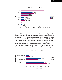

#### **Age of the Perpetrator – Median Loss**

#### **The Effect of Education**

Approximately half of the perpetrators in our study had no more than a high school education, while 42% had a bachelor's degree and 9% had a postgraduate degree. As the education level of the perpetrators rose, so did the losses they caused. The median loss in schemes committed by those with postgraduate degrees was \$325,000, or 6.5 times larger than the median loss in schemes committed by those with a high school degree or less. This trend was to be expected given that those with higher levels of education tend to occupy higher positions and enjoy more authority within an organization. Curiously, this trend did not hold up in 2002, when we found that those with bachelor's degrees caused higher losses than those with postgraduate degrees.



#### **Education of the Perpetrator - Frequency**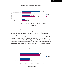#### **Education of the Perpetrator – Median Loss**



#### **The Effect of Collusion**

Approximately two-thirds of the frauds in our study were committed by a single perpetrator, but when more than one person conspired to commit fraud, the median loss rose dramatically, more than tripling. This trend was expected because when multiple perpetrators conspire to commit a fraud, this makes it easier to circumvent anti-fraud controls. For example, collusion among several employees can render ineffective the independent checks that might otherwise flag an internal fraud scheme. The effect of collusion was actually much larger in our 2002 study, where we found that the median loss increased by a multiple of 7 when more than one person conspired to defraud an organization.



#### **Number of Perpetrators – Frequency**

**Percent of Cases**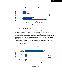

#### **Number of Perpetrators – Median Loss**

#### **The Perpetrators' Criminal Histories**

As was the case in our previous studies, most of the perpetrators we encountered in this survey were first-time offenders. This finding is consistent with other studies, particularly the research of Dr. Donald Cressey, which suggests that most occupational fraudsters are not career criminals. There were 363 cases in which the respondent was able to provide information about the past criminal history of the perpetrator, and in 83% of those cases the perpetrator had never been charged or convicted prior to the offense in question. This number actually reflected a slight decline from the results of our 2002 study. The number of perpetrators with prior convictions rose slightly, from 9% in 2002 to 12% in 2004.



#### **Perpetrators' Criminal Histories**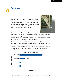# <span id="page-42-0"></span>*Case Results 8*

Respondents were asked to provide information on how the victim organizations dealt with perpetrators after they had caught them. There is a great deal of anecdotal evidence in the field suggesting that organizations are generally reluctant to prosecute fraud offenders; we sought to determine if that would be supported by the data in our study.



THOSE EFFORTS PROVE FUTILE.

#### **Employment Actions Taken Against Fraudsters**

When a person is caught defrauding his or her employer, the

first and most immediate reaction by the victim organization will usually come in the form of an adverse employment action. We received 428 responses in which the CFE identified what adverse employment action was taken against the perpetrator. In 88% of the cases, the victim organization fired the perpetrator.

This does not mean, however, that 12% of organizations retained the fraudsters. In many cases, the perpetrator quit or disappeared when it became apparent that his or her scheme was about to be discovered, before the victim organization had an opportunity to take action. Obviously, it would be rare for an organization to retain an employee, manager, or officer after that person had defrauded the organization, although there are occasions where that occurs.



#### **Adverse Employment Actions22**

<sup>&</sup>lt;sup>22</sup> The sum of percentages in this chart exceeds 100% because in some cases the victim organization took more than one adverse action.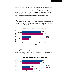As the preceding chart shows, the victim organization entered into a restitution agreement with the perpetrator in 23% of the cases. When a private restitution agreement was reached, the victim company had a median recovery of 95% of its losses. By comparison, the median recovery in all cases was 20%. However, the "private restitution" cases tended to involve small frauds; the median loss in these cases was \$59,000. It is often much more difficult to obtain a significant recovery in a larger fraud case.

#### **Criminal Prosecutions**

Despite frequent claims that organizations are hesitant to prosecute fraud offenders, our data showed that the majority of victim organizations referred their cases to law enforcement authorities. The rate of referral was actually slightly lower than in 2002, but at 69% it was still higher than anecdotal evidence frequently suggests.





Not surprisingly, the decision of whether to refer a case for prosecution seems to be strongly influenced by the size of the fraud. In cases that were referred to prosecutors, the median loss was \$135,000. This was more than double the median loss in cases that were not referred.



#### **Cases Referred to Law Enforcement – Median Loss**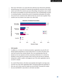There were 339 frauds in our survey that were referred to law enforcement authorities. Among this group, we received 161 responses that specified the outcomes of the criminal actions (over half of the criminal cases were still pending). Among those cases in which the outcome was identified, we found that prosecutors were overwhelmingly successful in convicting fraudsters. Seventy-three percent of perpetrators pled guilty, and another nine percent were convicted at trial, while less than two percent were acquitted. These numbers were very similar to the results of our 2002 study.



#### **Outcomes of Criminal Prosecutions**

#### **Civil Lawsuits**

In addition to, or in place of, criminal prosecutions, organizations may also file civil lawsuits against perpetrators to recover stolen funds. In our study, civil actions were much less common than criminal referrals. This is not surprising, given that civil lawsuits can be very expensive and time consuming. Furthermore, it is common for fraudsters to have spent the proceeds of their crimes by the time they are detected, leaving them unable to satisfy a civil judgment even if the victim organization were to succeed in a lawsuit.

As a result of these factors, civil actions were typically only brought in very large cases. Less than one in five victim organizations filed a civil lawsuit against the perpetrator in their case, and in those cases the median loss was \$470,000. Conversely, the median loss was only \$60,000 in cases where no civil action was taken.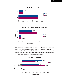

#### **Cases in Which a Civil Suit was Filed — Frequency**





Of the 75 cases in our study that resulted in a civil lawsuit, 49 cases were still pending at the time of our survey. Among the remaining 26 cases, the victims were extremely successful. Twelve of those cases resulted in a judgment for the victim organization, while the remaining 14 were settled. There was not a single judgment in favor of a perpetrator. There were also no judgments in favor of perpetrators in 2002.



#### **Outcomes of Civil Actions**

**Percent of Cases**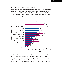#### **Why do Organizations Decline to Take Legal Action?**

In cases where the victim organization declined to take legal action, we asked respondents to tell us why. A list of 12 common reasons was given, and respondents marked as many as applied in their particular case. The following chart shows the results of this inquiry. Although no reason was prevalent, *private settlement* and *fear of bad publicity* were the most commonly cited reasons, each occurring in over a quarter of the "no action" cases.



**Reasons for Declining to Take Legal Action**

We also found that to some extent, the decision of whether to take legal action in a particular case may be influenced by the perpetrator's position within the victim organization. As the following chart shows, the higher a perpetrator's level of authority within an organization, the less likely the organization was to take legal action against that perpetrator. This is an unusual trend, especially given the fact that median losses tend to rise with position level.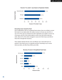

#### **Percent of "no action" cases Based on Perpetrator Position**

#### **Recovering Losses Caused by Fraud**

Even if organizations catch an occupational fraud scheme, they are not likely to recover their losses. As we stated earlier, the median recovery in all cases was only 20%. In over 37% of the cases we reviewed, the victim organization was unable to recover any of its losses, and 63% of the victims failed to recover more than half of what was stolen. About 22% of the victims managed to recover all of their losses (one-third of these did so through their insurance).

These statistics illustrate that the most cost-effective way to deal with fraud is to prevent it. Once fraud occurs, it is expensive and time consuming to try to recover what was stolen, and often those efforts prove futile.



#### **Recovery of Losses in Occupational Fraud Cases**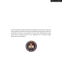The ACFE would like to thank the hundreds of Certified Fraud Examiners who made this report possible. This information shows how having effective fraud prevention, deterrence and detection measures in your organization can save money. Although fraud is widespread today, its potential impact on your organization can be reduced through appropriate anti-fraud programs.

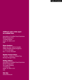#### **Additional copies of this report are available from:**

Association of Certified Fraud Examiners World Headquarters 716 West Avenue Austin, TX 78701-2727 USA

#### **Phone Numbers:**

(800) 245-3321 (USA & Canada) (0800) 962049 (United Kingdom) +1 (512) 478-9000 Fax: +1 (512) 478-9297

## **Member Services Hours:**

7:30 a.m. – 6:00 p.m. Central Time Monday through Friday

#### **Mailing Address:**

Association of Certified Fraud Examiners World Headquarters The Gregor Building 716 West Ave Austin, TX 78701-2727 USA

#### **Web Site:**

[www.CFEnet.com](www.cfenet.com)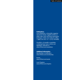#### **Publications:**

*Fraud Magazine*, a bimonthly magazine devoted to timely, insightful articles on white-collar crime and fraud examination techniques. Order yours today by calling 1 (800) 245-3321 or +1 (512) 478-9000.

*FraudInfo*, a bi-weekly e-newsletter containing fraud news, articles and legislation. Subscribe at [www.CFEnet.com/newsletters](www.cfenet.com/newsletters)

### **Additional Information:**

Membership & Certification: [www.CFEnet.com/membership](www.cfenet.com/membership)

Events: [www.CFEnet.com/events](www.cfenet.com/events)

Local Chapters: [www.CFEnet.com/chapters](www.cfenet.com/chapters)